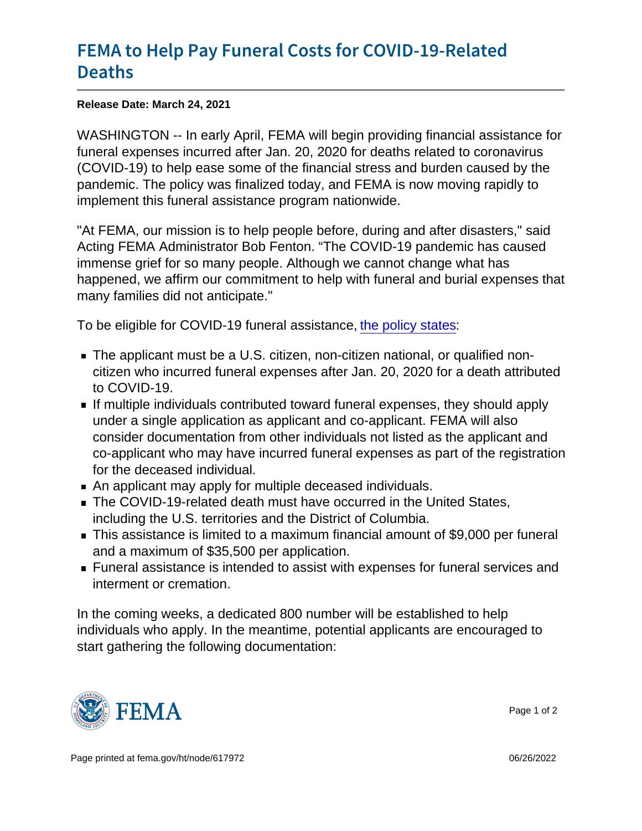## [FEMA to Help Pay Funeral Costs](https://www.fema.gov/press-release/20210324/fema-help-pay-funeral-costs-covid-19-related-deaths) for COVI [Deat](https://www.fema.gov/press-release/20210324/fema-help-pay-funeral-costs-covid-19-related-deaths)hs

Release Date: March 24, 2021

WASHINGTON -- In early April, FEMA will begin providing financial assistance for funeral expenses incurred after Jan. 20, 2020 for deaths related to coronavirus (COVID-19) to help ease some of the financial stress and burden caused by the pandemic. The policy was finalized today, and FEMA is now moving rapidly to implement this funeral assistance program nationwide.

"At FEMA, our mission is to help people before, during and after disasters," said Acting FEMA Administrator Bob Fenton. "The COVID-19 pandemic has caused immense grief for so many people. Although we cannot change what has happened, we affirm our commitment to help with funeral and burial expenses that many families did not anticipate."

To be eligible for COVID-19 funeral assistance, [the policy states:](https://www.fema.gov/sites/default/files/documents/fema_policy_covid-19_funeral_assistance-updated.pdf)

- The applicant must be a U.S. citizen, non-citizen national, or qualified noncitizen who incurred funeral expenses after Jan. 20, 2020 for a death attributed to COVID-19.
- If multiple individuals contributed toward funeral expenses, they should apply under a single application as applicant and co-applicant. FEMA will also consider documentation from other individuals not listed as the applicant and co-applicant who may have incurred funeral expenses as part of the registration for the deceased individual.
- An applicant may apply for multiple deceased individuals.
- The COVID-19-related death must have occurred in the United States, including the U.S. territories and the District of Columbia.
- This assistance is limited to a maximum financial amount of \$9,000 per funeral and a maximum of \$35,500 per application.
- Funeral assistance is intended to assist with expenses for funeral services and interment or cremation.

In the coming weeks, a dedicated 800 number will be established to help individuals who apply. In the meantime, potential applicants are encouraged to start gathering the following documentation:



Page 1 of 2